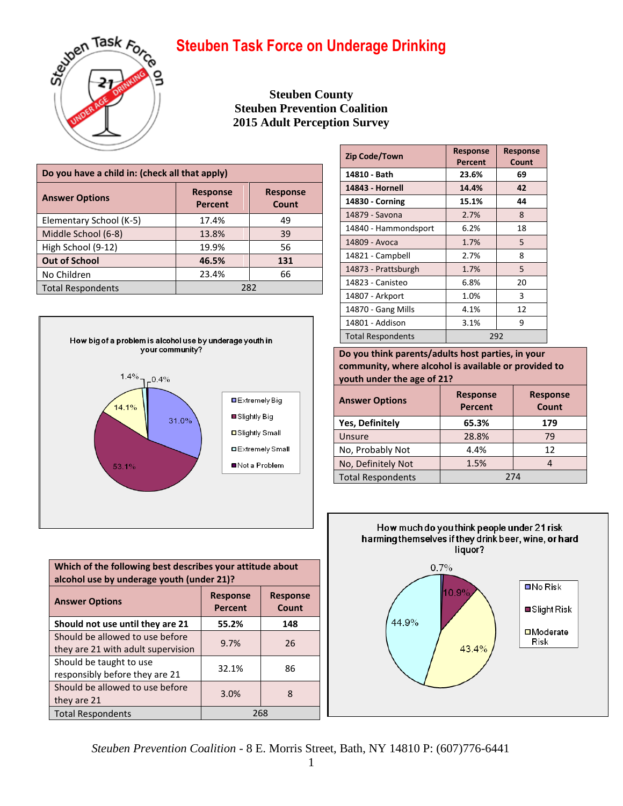

**Steuben County Steuben Prevention Coalition 2015 Adult Perception Survey**

| Do you have a child in: (check all that apply) |                                   |                          |  |  |  |
|------------------------------------------------|-----------------------------------|--------------------------|--|--|--|
| <b>Answer Options</b>                          | <b>Response</b><br><b>Percent</b> | <b>Response</b><br>Count |  |  |  |
| Elementary School (K-5)                        | 17.4%                             | 49                       |  |  |  |
| Middle School (6-8)                            | 13.8%                             | 39                       |  |  |  |
| High School (9-12)                             | 19.9%                             | 56                       |  |  |  |
| <b>Out of School</b>                           | 46.5%                             | 131                      |  |  |  |
| No Children<br>23.4%<br>66                     |                                   |                          |  |  |  |
| <b>Total Respondents</b>                       | 282                               |                          |  |  |  |



| Which of the following best describes your attitude about<br>alcohol use by underage youth (under 21)? |       |     |  |  |  |
|--------------------------------------------------------------------------------------------------------|-------|-----|--|--|--|
| <b>Response</b><br><b>Response</b><br><b>Answer Options</b><br>Count<br><b>Percent</b>                 |       |     |  |  |  |
| Should not use until they are 21                                                                       | 55.2% | 148 |  |  |  |
| Should be allowed to use before<br>they are 21 with adult supervision                                  | 9.7%  | 26  |  |  |  |
| Should be taught to use<br>responsibly before they are 21                                              | 32.1% | 86  |  |  |  |
| Should be allowed to use before<br>they are 21                                                         | 3.0%  | 8   |  |  |  |
| <b>Total Respondents</b>                                                                               | 268   |     |  |  |  |

| <b>Zip Code/Town</b>     | <b>Response</b><br>Percent | <b>Response</b><br>Count |  |
|--------------------------|----------------------------|--------------------------|--|
| 14810 - Bath             | 23.6%                      | 69                       |  |
| 14843 - Hornell          | 14.4%                      | 42                       |  |
| 14830 - Corning          | 15.1%                      | 44                       |  |
| 14879 - Savona           | 2.7%                       | 8                        |  |
| 14840 - Hammondsport     | 6.2%                       | 18                       |  |
| 14809 - Avoca            | 1.7%                       | 5                        |  |
| 14821 - Campbell         | 2.7%                       | 8                        |  |
| 14873 - Prattsburgh      | 1.7%                       | 5                        |  |
| 14823 - Canisteo         | 6.8%                       | 20                       |  |
| 14807 - Arkport          | 1.0%                       | 3                        |  |
| 14870 - Gang Mills       | 4.1%                       | 12                       |  |
| 14801 - Addison          | 3.1%                       | 9                        |  |
| <b>Total Respondents</b> | 292                        |                          |  |

**Do you think parents/adults host parties, in your community, where alcohol is available or provided to youth under the age of 21?**

| <b>Answer Options</b>    | <b>Response</b><br><b>Percent</b> | <b>Response</b><br>Count |  |  |
|--------------------------|-----------------------------------|--------------------------|--|--|
| <b>Yes, Definitely</b>   | 65.3%                             | 179                      |  |  |
| Unsure                   | 28.8%                             | 79                       |  |  |
| No, Probably Not         | 4.4%                              | 12                       |  |  |
| No, Definitely Not       | 1.5%                              |                          |  |  |
| <b>Total Respondents</b> | 274                               |                          |  |  |



*Steuben Prevention Coalition* - 8 E. Morris Street, Bath, NY 14810 P: (607)776-6441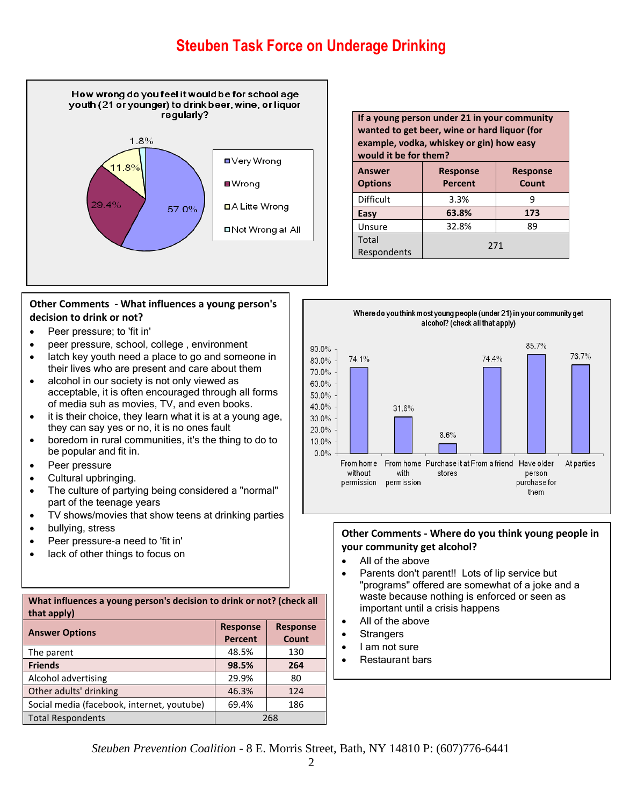

### **Other Comments - What influences a young person's decision to drink or not?**

- Peer pressure; to 'fit in'
- peer pressure, school, college , environment
- latch key youth need a place to go and someone in their lives who are present and care about them
- alcohol in our society is not only viewed as acceptable, it is often encouraged through all forms of media suh as movies, TV, and even books.
- it is their choice, they learn what it is at a young age, they can say yes or no, it is no ones fault
- boredom in rural communities, it's the thing to do to be popular and fit in.
- Peer pressure
- Cultural upbringing.
- The culture of partying being considered a "normal" part of the teenage years
- TV shows/movies that show teens at drinking parties
- bullying, stress
- Peer pressure-a need to 'fit in'
- lack of other things to focus on

| What influences a young person's decision to drink or not? (check all<br>that apply) |                                    |       |  |  |  |
|--------------------------------------------------------------------------------------|------------------------------------|-------|--|--|--|
| <b>Answer Options</b>                                                                | <b>Response</b><br><b>Response</b> |       |  |  |  |
|                                                                                      | <b>Percent</b>                     | Count |  |  |  |
| The parent                                                                           | 48.5%                              | 130   |  |  |  |
| <b>Friends</b>                                                                       | 98.5%                              | 264   |  |  |  |
| Alcohol advertising                                                                  | 29.9%                              | 80    |  |  |  |
| Other adults' drinking                                                               | 46.3%                              | 124   |  |  |  |
| Social media (facebook, internet, youtube)                                           | 69.4%<br>186                       |       |  |  |  |
| <b>Total Respondents</b><br>268                                                      |                                    |       |  |  |  |

**If a young person under 21 in your community wanted to get beer, wine or hard liquor (for example, vodka, whiskey or gin) how easy would it be for them? Answer Options Response Percent Response Count**  $Difficult \qquad 3.3\% \qquad 9$ **Easy 63.8% 173** Unsure | 32.8% | 89 Total Respondents 271



### **Other Comments - Where do you think young people in your community get alcohol?**

- All of the above
- Parents don't parent!! Lots of lip service but "programs" offered are somewhat of a joke and a waste because nothing is enforced or seen as important until a crisis happens
- All of the above
- **Strangers**
- I am not sure
- Restaurant bars

*Steuben Prevention Coalition* - 8 E. Morris Street, Bath, NY 14810 P: (607)776-6441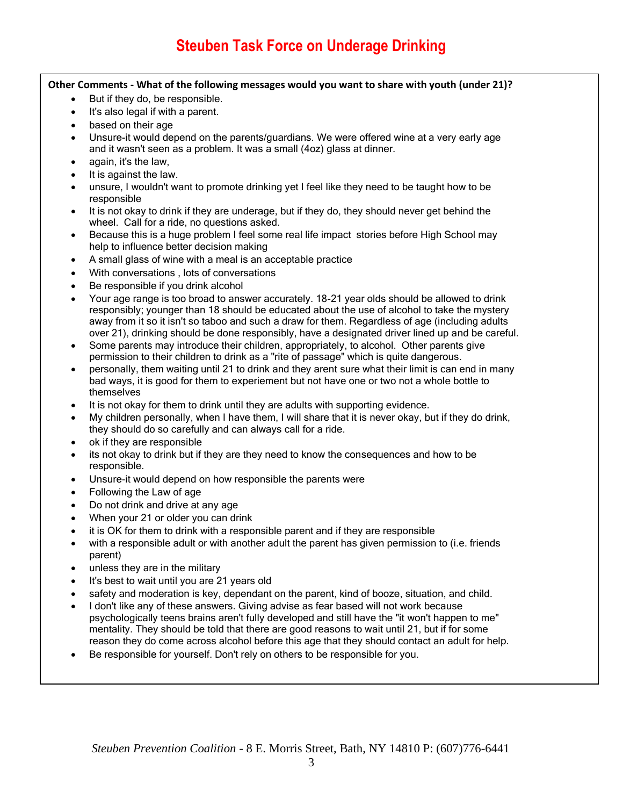### **Other Comments - What of the following messages would you want to share with youth (under 21)?**

- But if they do, be responsible.
- It's also legal if with a parent.
- based on their age
- Unsure-it would depend on the parents/guardians. We were offered wine at a very early age and it wasn't seen as a problem. It was a small (4oz) glass at dinner.
- again, it's the law,
- It is against the law.
- unsure, I wouldn't want to promote drinking yet I feel like they need to be taught how to be responsible
- It is not okay to drink if they are underage, but if they do, they should never get behind the wheel. Call for a ride, no questions asked.
- Because this is a huge problem I feel some real life impact stories before High School may help to influence better decision making
- A small glass of wine with a meal is an acceptable practice
- With conversations , lots of conversations
- Be responsible if you drink alcohol
- Your age range is too broad to answer accurately. 18-21 year olds should be allowed to drink responsibly; younger than 18 should be educated about the use of alcohol to take the mystery away from it so it isn't so taboo and such a draw for them. Regardless of age (including adults over 21), drinking should be done responsibly, have a designated driver lined up and be careful.
- Some parents may introduce their children, appropriately, to alcohol. Other parents give permission to their children to drink as a "rite of passage" which is quite dangerous.
- personally, them waiting until 21 to drink and they arent sure what their limit is can end in many bad ways, it is good for them to experiement but not have one or two not a whole bottle to themselves
- It is not okay for them to drink until they are adults with supporting evidence.
- My children personally, when I have them, I will share that it is never okay, but if they do drink, they should do so carefully and can always call for a ride.
- ok if they are responsible
- its not okay to drink but if they are they need to know the consequences and how to be responsible.
- Unsure-it would depend on how responsible the parents were
- Following the Law of age
- Do not drink and drive at any age
- When your 21 or older you can drink
- it is OK for them to drink with a responsible parent and if they are responsible
- with a responsible adult or with another adult the parent has given permission to (i.e. friends parent)
- unless they are in the military
- It's best to wait until you are 21 years old
- safety and moderation is key, dependant on the parent, kind of booze, situation, and child.
- I don't like any of these answers. Giving advise as fear based will not work because psychologically teens brains aren't fully developed and still have the "it won't happen to me" mentality. They should be told that there are good reasons to wait until 21, but if for some reason they do come across alcohol before this age that they should contact an adult for help.
- Be responsible for yourself. Don't rely on others to be responsible for you.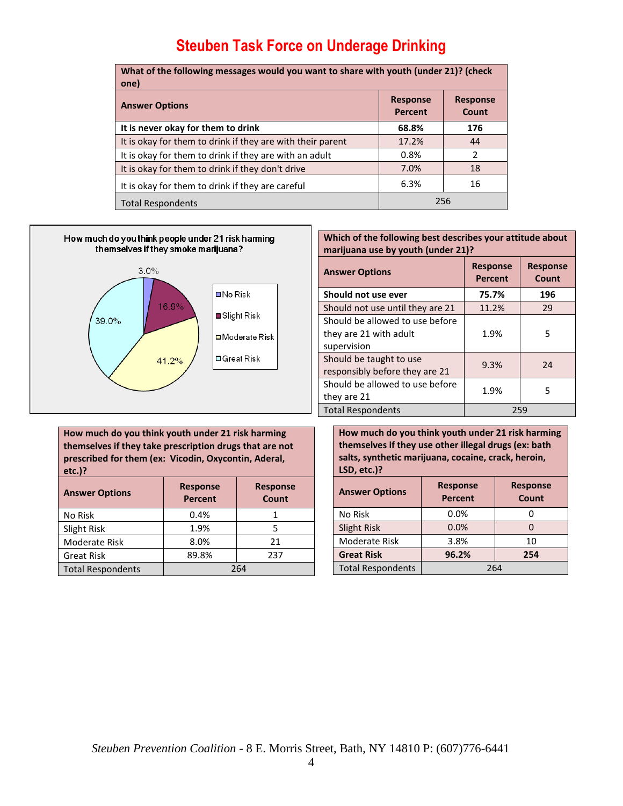| What of the following messages would you want to share with youth (under 21)? (check<br>one) |                            |                          |
|----------------------------------------------------------------------------------------------|----------------------------|--------------------------|
| <b>Answer Options</b>                                                                        | <b>Response</b><br>Percent | <b>Response</b><br>Count |
| It is never okay for them to drink                                                           | 68.8%                      | 176                      |
| It is okay for them to drink if they are with their parent                                   | 17.2%                      | 44                       |
| It is okay for them to drink if they are with an adult                                       | 0.8%                       | 2                        |
| It is okay for them to drink if they don't drive                                             | 7.0%                       | 18                       |
| It is okay for them to drink if they are careful                                             | 6.3%                       | 16                       |
| <b>Total Respondents</b>                                                                     | 256                        |                          |



### **Which of the following best describes your attitude about marijuana use by youth (under 21)?**

| <b>Answer Options</b>                                                    | <b>Response</b><br><b>Percent</b> | <b>Response</b><br>Count |  |  |
|--------------------------------------------------------------------------|-----------------------------------|--------------------------|--|--|
| Should not use ever                                                      | 75.7%                             | 196                      |  |  |
| Should not use until they are 21                                         | 11.2%                             | 29                       |  |  |
| Should be allowed to use before<br>they are 21 with adult<br>supervision | 1.9%                              | 5                        |  |  |
| Should be taught to use<br>responsibly before they are 21                | 9.3%                              | 24                       |  |  |
| Should be allowed to use before<br>they are 21                           | 1.9%                              | 5                        |  |  |
| <b>Total Respondents</b>                                                 | 259                               |                          |  |  |

**How much do you think youth under 21 risk harming themselves if they use other illegal drugs (ex: bath salts, synthetic marijuana, cocaine, crack, heroin, LSD, etc.)?**

| <b>Answer Options</b>    | <b>Response</b><br><b>Response</b><br><b>Percent</b><br>Count |     |  |  |
|--------------------------|---------------------------------------------------------------|-----|--|--|
| No Risk                  | 0.0%                                                          |     |  |  |
| <b>Slight Risk</b>       | 0.0%                                                          |     |  |  |
| Moderate Risk            | 3.8%                                                          | 10  |  |  |
| <b>Great Risk</b>        | 96.2%                                                         | 254 |  |  |
| <b>Total Respondents</b> | 264                                                           |     |  |  |

**How much do you think youth under 21 risk harming themselves if they take prescription drugs that are not prescribed for them (ex: Vicodin, Oxycontin, Aderal, etc.)? Answer Options Response Percent Response Count**

| No Risk                  | 0.4%         |    |  |  |
|--------------------------|--------------|----|--|--|
| Slight Risk              | 1.9%         |    |  |  |
| Moderate Risk            | 8.0%         | 21 |  |  |
| <b>Great Risk</b>        | 89.8%<br>237 |    |  |  |
| <b>Total Respondents</b> | 264          |    |  |  |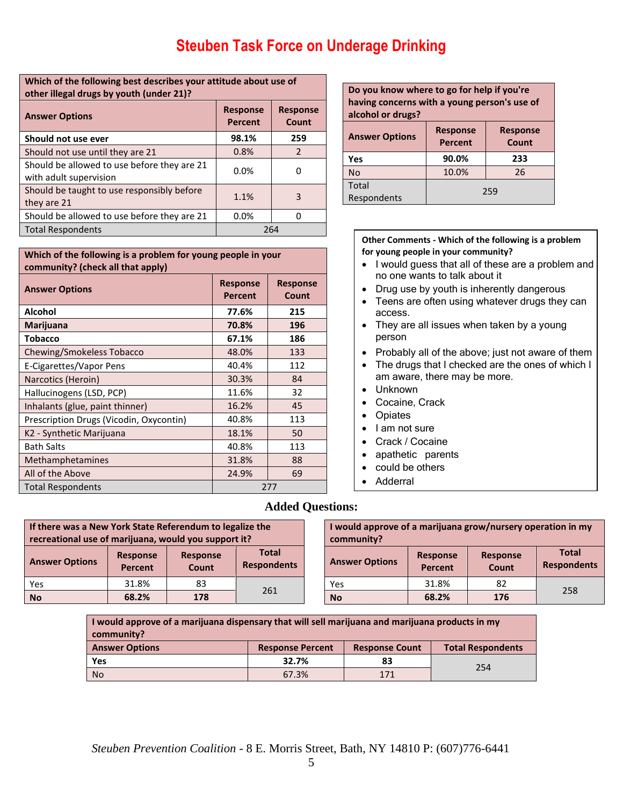### **Which of the following best describes your attitude about use of other illegal drugs by youth (under 21)?**

| <b>Answer Options</b>                                                 | <b>Response</b><br><b>Percent</b> | <b>Response</b><br>Count |  |
|-----------------------------------------------------------------------|-----------------------------------|--------------------------|--|
| Should not use ever                                                   | 98.1%                             | 259                      |  |
| Should not use until they are 21                                      | 0.8%                              | $\mathcal{P}$            |  |
| Should be allowed to use before they are 21<br>with adult supervision | 0.0%                              | ŋ                        |  |
| Should be taught to use responsibly before<br>they are 21             | 1.1%                              | 3                        |  |
| Should be allowed to use before they are 21                           | 0.0%                              |                          |  |
| <b>Total Respondents</b>                                              |                                   | 264                      |  |

#### **Which of the following is a problem for young people in your community? (check all that apply)**

| <b>Answer Options</b>                   | <b>Response</b><br><b>Percent</b> | <b>Response</b><br>Count |  |
|-----------------------------------------|-----------------------------------|--------------------------|--|
| <b>Alcohol</b>                          | 77.6%                             | 215                      |  |
| Marijuana                               | 70.8%                             | 196                      |  |
| Tobacco                                 | 67.1%                             | 186                      |  |
| Chewing/Smokeless Tobacco               | 48.0%                             | 133                      |  |
| E-Cigarettes/Vapor Pens                 | 40.4%                             | 112                      |  |
| Narcotics (Heroin)                      | 30.3%                             | 84                       |  |
| Hallucinogens (LSD, PCP)                | 11.6%                             | 32                       |  |
| Inhalants (glue, paint thinner)         | 16.2%                             | 45                       |  |
| Prescription Drugs (Vicodin, Oxycontin) | 40.8%                             | 113                      |  |
| K2 - Synthetic Marijuana                | 18.1%                             | 50                       |  |
| <b>Bath Salts</b>                       | 40.8%                             | 113                      |  |
| Methamphetamines                        | 31.8%                             | 88                       |  |
| All of the Above                        | 24.9%<br>69                       |                          |  |
| <b>Total Respondents</b>                | 277                               |                          |  |

#### **Do you know where to go for help if you're having concerns with a young person's use of alcohol or drugs? Answer Options Response Percent Response Count Yes 90.0% 233** No 10.0% 26 Total Respondents 259

#### **Other Comments - Which of the following is a problem for young people in your community?**

- I would guess that all of these are a problem and no one wants to talk about it
- Drug use by youth is inherently dangerous
- Teens are often using whatever drugs they can access.
- They are all issues when taken by a young person
- Probably all of the above; just not aware of them
- The drugs that I checked are the ones of which I am aware, there may be more.
- Unknown
- Cocaine, Crack
- Opiates
- $\bullet$  | am not sure
- Crack / Cocaine
- apathetic parents
- could be others
- Adderral

## **Added Questions:**

| If there was a New York State Referendum to legalize the<br>recreational use of marijuana, would you support it? |                            |                          |                                    | I would approve of a marijuana grow/nursery operation in my<br>community? |                            |                          |                                    |
|------------------------------------------------------------------------------------------------------------------|----------------------------|--------------------------|------------------------------------|---------------------------------------------------------------------------|----------------------------|--------------------------|------------------------------------|
| <b>Answer Options</b>                                                                                            | <b>Response</b><br>Percent | <b>Response</b><br>Count | <b>Total</b><br><b>Respondents</b> | <b>Answer Options</b>                                                     | <b>Response</b><br>Percent | <b>Response</b><br>Count | <b>Total</b><br><b>Respondents</b> |
| Yes                                                                                                              | 31.8%                      | 83                       |                                    | Yes                                                                       | 31.8%                      | 82                       | 258                                |
| <b>No</b>                                                                                                        | 68.2%                      | 178                      | 261                                | <b>No</b>                                                                 | 68.2%                      | 176                      |                                    |

**I would approve of a marijuana dispensary that will sell marijuana and marijuana products in my community?**

| <b>Answer Options</b> | <b>Response Percent</b> | <b>Response Count</b> | <b>Total Respondents</b> |
|-----------------------|-------------------------|-----------------------|--------------------------|
| Yes                   | 32.7%                   | 83                    | 254                      |
| <b>No</b>             | 67.3%                   | 171                   |                          |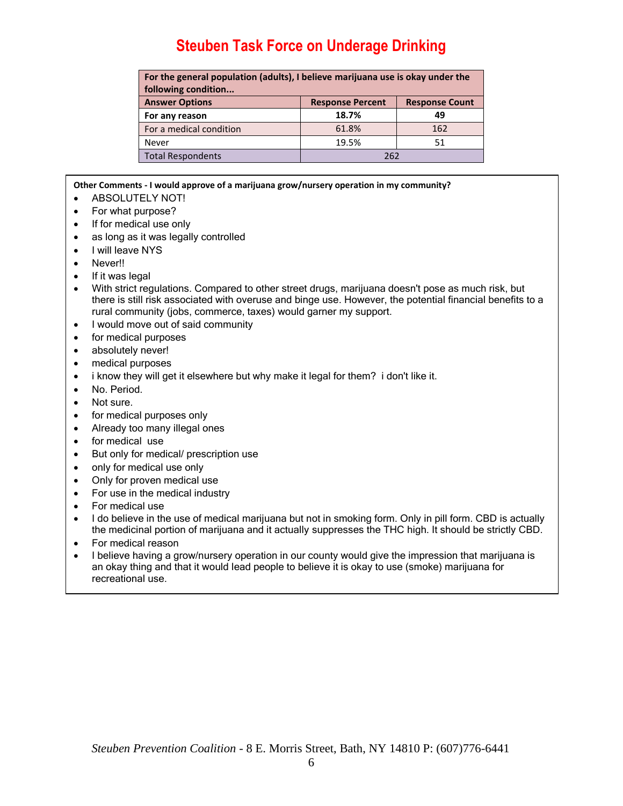| For the general population (adults), I believe marijuana use is okay under the |                         |                       |  |  |
|--------------------------------------------------------------------------------|-------------------------|-----------------------|--|--|
| following condition                                                            |                         |                       |  |  |
| <b>Answer Options</b>                                                          | <b>Response Percent</b> | <b>Response Count</b> |  |  |
| For any reason                                                                 | 18.7%                   | 49                    |  |  |
| For a medical condition                                                        | 61.8%                   | 162                   |  |  |
| Never                                                                          | 19.5%                   | 51                    |  |  |
| <b>Total Respondents</b>                                                       | 262                     |                       |  |  |

**Other Comments - I would approve of a marijuana grow/nursery operation in my community?**

- **ABSOLUTELY NOT!**
- For what purpose?
- If for medical use only
- as long as it was legally controlled
- I will leave NYS
- Never!!
- If it was legal
- With strict regulations. Compared to other street drugs, marijuana doesn't pose as much risk, but there is still risk associated with overuse and binge use. However, the potential financial benefits to a rural community (jobs, commerce, taxes) would garner my support.
- I would move out of said community
- for medical purposes
- absolutely never!
- medical purposes
- i know they will get it elsewhere but why make it legal for them? i don't like it.
- No. Period.
- Not sure.
- for medical purposes only
- Already too many illegal ones
- for medical use
- But only for medical/ prescription use
- only for medical use only
- Only for proven medical use
- For use in the medical industry
- For medical use
- I do believe in the use of medical marijuana but not in smoking form. Only in pill form. CBD is actually the medicinal portion of marijuana and it actually suppresses the THC high. It should be strictly CBD.
- For medical reason
- I believe having a grow/nursery operation in our county would give the impression that marijuana is an okay thing and that it would lead people to believe it is okay to use (smoke) marijuana for recreational use.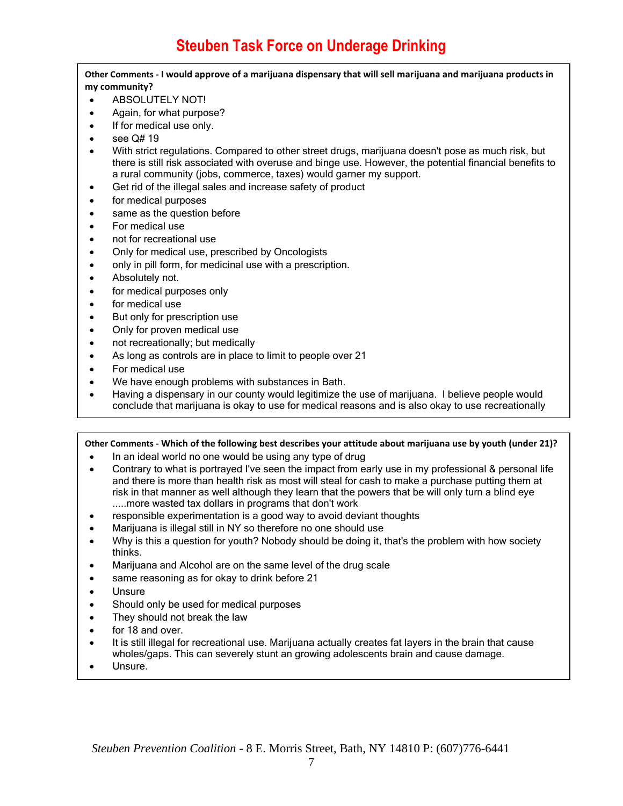**Other Comments - I would approve of a marijuana dispensary that will sell marijuana and marijuana products in my community?**

- **ABSOLUTELY NOT!**
- Again, for what purpose?
- If for medical use only.
- see Q# 19
- With strict regulations. Compared to other street drugs, marijuana doesn't pose as much risk, but there is still risk associated with overuse and binge use. However, the potential financial benefits to a rural community (jobs, commerce, taxes) would garner my support.
- Get rid of the illegal sales and increase safety of product
- for medical purposes
- same as the question before
- For medical use
- not for recreational use
- Only for medical use, prescribed by Oncologists
- only in pill form, for medicinal use with a prescription.
- Absolutely not.
- for medical purposes only
- for medical use
- But only for prescription use
- Only for proven medical use
- not recreationally; but medically
- As long as controls are in place to limit to people over 21
- For medical use
- We have enough problems with substances in Bath.
- Having a dispensary in our county would legitimize the use of marijuana. I believe people would conclude that marijuana is okay to use for medical reasons and is also okay to use recreationally

### **Other Comments - Which of the following best describes your attitude about marijuana use by youth (under 21)?**

- In an ideal world no one would be using any type of drug
- Contrary to what is portrayed I've seen the impact from early use in my professional & personal life and there is more than health risk as most will steal for cash to make a purchase putting them at risk in that manner as well although they learn that the powers that be will only turn a blind eye .....more wasted tax dollars in programs that don't work
- responsible experimentation is a good way to avoid deviant thoughts
- Marijuana is illegal still in NY so therefore no one should use
- Why is this a question for youth? Nobody should be doing it, that's the problem with how society thinks.
- Marijuana and Alcohol are on the same level of the drug scale
- same reasoning as for okay to drink before 21
- Unsure
- Should only be used for medical purposes
- They should not break the law
- for 18 and over.
- It is still illegal for recreational use. Marijuana actually creates fat layers in the brain that cause wholes/gaps. This can severely stunt an growing adolescents brain and cause damage.
- Unsure.

 $\overline{a}$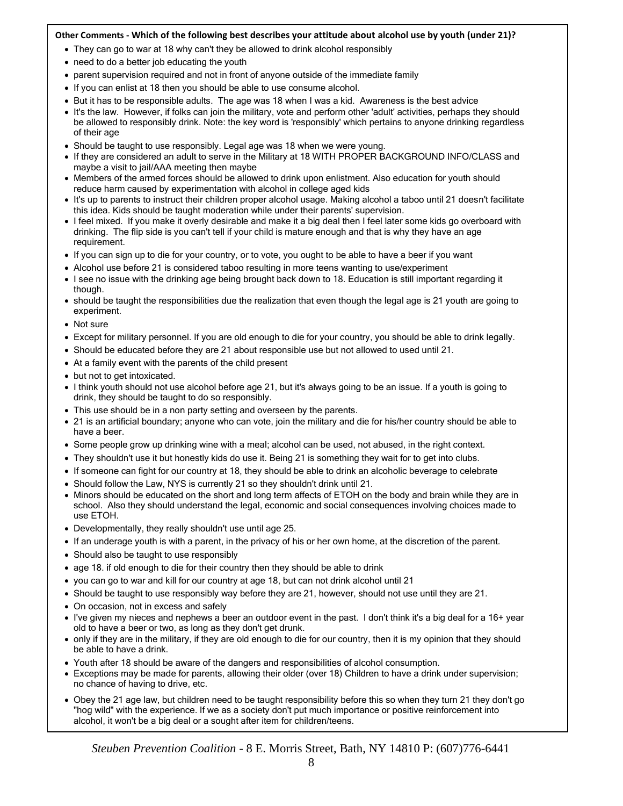### **Other Comments - Which of the following best describes your attitude about alcohol use by youth (under 21)?**

- **Stephen Task Force on Undergridge Drinking** Theorem Controlled Task Force Case 2, the They can go to war at 18 why can't they be allowed to drink alcohol responsibly
- need to do a better job educating the youth
- parent supervision required and not in front of anyone outside of the immediate family
- If you can enlist at 18 then you should be able to use consume alcohol.
- But it has to be responsible adults. The age was 18 when I was a kid. Awareness is the best advice
- It's the law. However, if folks can join the military, vote and perform other 'adult' activities, perhaps they should be allowed to responsibly drink. Note: the key word is 'responsibly' which pertains to anyone drinking regardless of their age
- Should be taught to use responsibly. Legal age was 18 when we were young.
- If they are considered an adult to serve in the Military at 18 WITH PROPER BACKGROUND INFO/CLASS and maybe a visit to jail/AAA meeting then maybe
- Members of the armed forces should be allowed to drink upon enlistment. Also education for youth should reduce harm caused by experimentation with alcohol in college aged kids
- It's up to parents to instruct their children proper alcohol usage. Making alcohol a taboo until 21 doesn't facilitate this idea. Kids should be taught moderation while under their parents' supervision.
- I feel mixed. If you make it overly desirable and make it a big deal then I feel later some kids go overboard with drinking. The flip side is you can't tell if your child is mature enough and that is why they have an age requirement.
- If you can sign up to die for your country, or to vote, you ought to be able to have a beer if you want
- Alcohol use before 21 is considered taboo resulting in more teens wanting to use/experiment
- I see no issue with the drinking age being brought back down to 18. Education is still important regarding it though.
- should be taught the responsibilities due the realization that even though the legal age is 21 youth are going to experiment.
- Not sure
- Except for military personnel. If you are old enough to die for your country, you should be able to drink legally.
- Should be educated before they are 21 about responsible use but not allowed to used until 21.
- At a family event with the parents of the child present
- but not to get intoxicated.
- I think youth should not use alcohol before age 21, but it's always going to be an issue. If a youth is going to drink, they should be taught to do so responsibly.
- This use should be in a non party setting and overseen by the parents.
- 21 is an artificial boundary; anyone who can vote, join the military and die for his/her country should be able to have a beer.
- Some people grow up drinking wine with a meal; alcohol can be used, not abused, in the right context.
- They shouldn't use it but honestly kids do use it. Being 21 is something they wait for to get into clubs.
- If someone can fight for our country at 18, they should be able to drink an alcoholic beverage to celebrate
- Should follow the Law, NYS is currently 21 so they shouldn't drink until 21.
- Minors should be educated on the short and long term affects of ETOH on the body and brain while they are in school. Also they should understand the legal, economic and social consequences involving choices made to use ETOH.
- Developmentally, they really shouldn't use until age 25.
- If an underage youth is with a parent, in the privacy of his or her own home, at the discretion of the parent.
- Should also be taught to use responsibly
- age 18. if old enough to die for their country then they should be able to drink
- you can go to war and kill for our country at age 18, but can not drink alcohol until 21
- Should be taught to use responsibly way before they are 21, however, should not use until they are 21.
- On occasion, not in excess and safely
- I've given my nieces and nephews a beer an outdoor event in the past. I don't think it's a big deal for a 16+ year old to have a beer or two, as long as they don't get drunk.
- only if they are in the military, if they are old enough to die for our country, then it is my opinion that they should be able to have a drink.
- Youth after 18 should be aware of the dangers and responsibilities of alcohol consumption.
- Exceptions may be made for parents, allowing their older (over 18) Children to have a drink under supervision; no chance of having to drive, etc.
- Obey the 21 age law, but children need to be taught responsibility before this so when they turn 21 they don't go "hog wild" with the experience. If we as a society don't put much importance or positive reinforcement into alcohol, it won't be a big deal or a sought after item for children/teens.